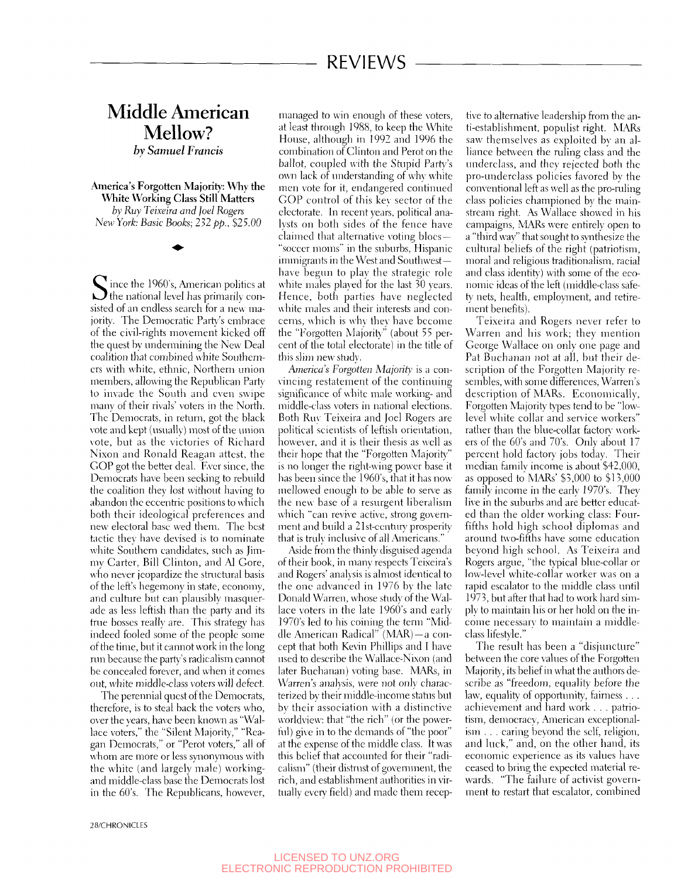## Middle American Mellow? *hy Samuel Francis*

**America's Forgotten Majority: Why the White Working Class Still Matters**  *by Ruy Teixeim and ]oeI Rogers New York: Basic Books; 232 pp., \$25.00* 

Since the 1960's, American politics at<br>the national level has primarily conthe national level has primarily consisted of an endless search for a new majority. The Democratic Party's embrace of the civil-rights movement kicked off the quest by undermining the New Deal coalition that combined white Southerners with white, ethnic, Northern union members, allowing the Republican Party to invade the South and even swipe many of their rivals' voters in the North. The Democrats, in return, got the black vote and kept (usually) most of the union vote, but as the victories of Richard Nixon and Ronald Reagan attest, the GOP got the better deal. Fver since, the Democrats have been seeking to rebuild the coalition they lost without having to abandon the eccentric positions to which both their ideological preferences and new electoral base wed them. The best tactic they have devised is to nominate white Southern candidates, such as Jimmy Carter, Bill Clinton, and Al Gore, who never jeopardize the structural basis of the left's hegemony in state, economy, and culture but can plausibly masquerade as less leftish than the party and its true bosses really are. This strategy has indeed fooled some of the people some of the time, but it cannot work in the long run because the party's radicalism cannot be concealed forever, and when it comes out, white middle-class voters will defect.

The perennial quest of the Democrats, therefore, is to steal back the voters who, over the years, have been known as "Wallace voters," the "Silent Majority," "Reagan Democrats," or "Perot voters," all of whom are more or less synonymous with the white (and largely male) workingand middle-class base the Democrats lost in the 60's. The Republicans, however.

managed to win enough of these voters, at least through 1988, to keep the White House, although in 1992 and 1996 the combination of Clinton and Perot on the ballot, coupled with the Stupid Party's own lack of understanding of why white men vote for it, endangered continued GOP control of this key sector of the electorate. In recent years, political analysts on both sides of the fence have claimed that alternative voting blocs -"soccer moms" in the suburbs, Hispanic immigrants in the West and Southwesthave begun to play the strategic role white males played for the last  $30$  years. Hence, both parties have neglected white males and their interests and concerns, which is why they have become the "Forgotten Majority" (about 55 percent of the total electorate) in the title of this slim new study.

*America's Forgotten Majorit}'* is a con- \incing restatement of the continuing significance of white male working- and middle-class voters in national elections. Both Ruv Teixeira and Joel Rogers are political scientists of leftish orientation, however, and it is their thesis as well as their hope that the "Forgotten Majority" is no longer the right-wing power base it has been since the 1960's, that it has now mellowed enough to be able to serve as the new base of a resurgent liberalism which "can revive active, strong government and build a 21st-century prosperity that is truly inclusive of all Americans."

Aside from the thinly disguised agenda of their book, in many respects Teixeira's and Rogers' anal\'sis is almost identical to the one advanced in 1976 by the late Donald Warren, whose study of the Wallace voters in the late 1960's and early 1970's led to his coining the term "Middle American Radical" (MAR)—a concept that both Kevin Phillips and I have used to describe the Wallace-Nixon (and later Buchanan) voting base. MARs, in Warren's analysis, were not only characterized by their middle-income status but by their association with a distinctive worldview: that "the rich" (or the powerful) give in to the demands of "the poor" at the expense of the middle class. It was this belief that accounted for their "radicalism" (their distrvist of government, the rich, and establishment authorities in virtually every field) and made them receptive to alternative leadership from the anti-establishment, populist right. MARs saw themselves as exploited by an alliance between the ruling class and the underclass, and they rejected both the pro-underclass policies favored by the conventional left as well as the pro-ruling class policies championed by the mainstream right. As Wallace showed in his campaigns, MARs were entirely open to a "third wav" that sought to svnthesize the cultural beliefs of the right (patriotism, moral and religious traditionalism, racial and class identity) with some of the economic ideas of the left (middle-class safety nets, health, employment, and retirement benefits).

Teixeira and Rogers never refer to Warren and his work; they mention George Wallace on only one page and Pat Buchanan not at all, but their description of the Forgotten Majority resembles, with some differences, Warren's description of MARs. Economically, Forgotten Majority types tend to be "lowlevel white collar and service workers" rather than the blue-collar factory workers of the 60's and 70's. Only about 17 percent hold factory jobs today. Their median familv income is about \$42,000, as opposed to MARs' \$5,000 to \$13,000 family income in the early 1970's. They live in the suburbs and are better educated than the older working class: Fourfifths hold high school diplomas and around two-fifths have some education beyond high school. As Teixeira and Rogers argue, "the typical blue-collar or low-level white-collar worker was on a rapid escalator to the middle class until 1973, but after that had to work hard simply to maintain his or her hold on the income necessary to maintain a middleclass lifestyle."

The result has been a "disjimcture" between the core values of the Forgotten Majority, its belief in what the authors describe as "freedom, equality before the law, equality of opportunity, fairness . . . achievement and hard work . . . patriotism, democracv, American exceptionalism . . . caring beyond the self, religion, and luck," and, on the other hand, its economic experience as its values have ceased to bring the expected material rewards. "The failure of activist government to restart that escalator, combined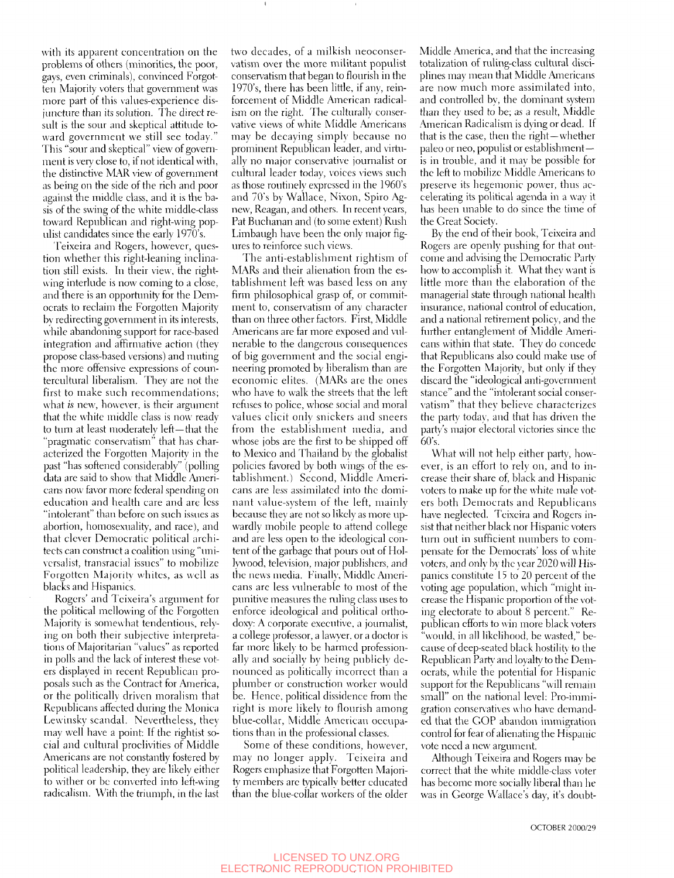with its apparent concentration on the problems of others (minorities, the poor, gays, even criminals), convinced Forgotten Majority voters that government was more part of this values-experience disjuncture than its solution. The direct result is the sour and skeptical attitude toward government we still see today." This "sour and skeptical" view of government is very close to, if not identical with, the distinctive MAR view of government as being on the side of the rich and poor against the middle class, and it is the basis of the swing of the white middle-class toward Republican and right-wing populist candidates since the early 1970's.

Feixeira and Rogers, however, question whether this right-leaning inclination still exists. In their view, the rightwing interlude is now coming to a close, and there is an opportunity for the Democrats to reclaim the Forgotten Majority by redirecting government in its interests, while abandoning support for race-based integration and affirmative action (they propose class-based versions) and muting the more offensive expressions of countercultural liberalism. They are not the first to make such recommendations; what *is* new, however, is their argument that the white middle class is now ready to turn at least moderately left—that the "pragmatic conservatism" that has characterized the Forgotten Majority in the past "has softened considerably" (polling data are said to show that Middle Americans now favor more federal spending on education and health care and are less "intolerant" than before on such issues as abortion, honrosexuality, and race), and that clever Democratic political architects can construct a coalition using "univcrsalist, transracial issues" to mobilize Forgotten Majority whites, as well as blacks and Hispanics.

Rogers' and Tcixeira's argument for the political mellowing of the Forgotten Majority is somewhat tendentious, relying on both their subjective interpretations of Majoritarian "values" as reported in polls and the lack of interest these voters displayed in recent Republican proposals such as the Contract for America, or the politically driven moralism that Republicans affected during the Monica Lewinsky scandal. Nevertheless, they may well have a point; If the rightist social and cultural proclivities of Middle Americans are not constantly fostered by political leadership, they are likely either to wither or be converted into left-wing radicalism. With the triumph, in the last

two decades, of a milkish neoconservatism over the more militant populist conservatism that began to flourish in the 1970's, there has been little, if any, reinforcement of Middle American radicalism on the right. The culturally conservative views of white Middle Americans may be decaying simplv because no prominent Republican leader, and virtually no major conservative journalist or cultural leader today, voices views such as those routinely expressed in the 1960's and 70's by Wallace, Nixon, Spiro Agnew, Reagan, and others. In recent years, Pat Buchanan and (to some extent) Rush Limbaugh have been the only major figures to reinforce such views.

The anti-establishment rightism of MARs and their alienation from the establishment left was based less on any firm philosophical grasp of, or commitment to, conservatism of any character than on three other factors. First, Middle Americans are far more exposed and vulnerable to the dangerous consequences of big government and the social engineering promoted by liberalism than are economic elites. (MARs are the ones who have to walk the streets that the left refuses to police, whose social and moral values elicit only snickers and sneers from the establishment media, and whose jobs are the first to be shipped off to Mexico and Thailand by the globalist policies favored by both wings of the establishment.) Second, Middle Americans are less assimilated into the dominant value-system of the left, mainly because they are not so likely as more upwardly mobile people to attend college and are less open to the ideological content of the garbage that pours out of Hollywood, television, major publishers, and the news media. Finally, Middle Americans are less vulnerable to most of the punitive measures the ruling class uses to enforce ideological and political orthodoxy: A corporate executive, a journalist, a college professor, a lawyer, or a doctor is far more likely to be harmed professionally and socially by being publicly denounced as politically incorrect than a plumber or construction worker would be. Hence, political dissidence from the right is more likely to flourish among blue-collar. Middle American occupations than in the professional classes.

Some of these conditions, however, may no longer apply. Tcixeira and Rogers emphasize that Forgotten Majori*fy* members are typically better educated than the blue-collar workers of the older

Middle America, and that the increasing totalization of ruling-class cultural disciplines may mean that Middle Americans are now much more assimilated into, and controlled by, the dominant system than they used to be; as a result, Middle American Radicalism is dying or dead. If that is the case, then the right—whether paleo or neo, populist or establishmentis in trouble, and it may be possible for the left to mobilize Nhddle Americans to preserve its hegemonic power, thus accelerating its political agenda in a way it has been unable to do since the time of the Great Society.

By the end of their book, Teixeira and Rogers are openly pushing for that outcome and advising the Democratic Part\' how to accomplish it. What they want is littie more than the elaboration of the managerial state through national health insurance, national control of education, and a national retirement policy, and the further entanglement of Middle Americans within that state. They do concede that Republicans also could make use of the Forgotten Majority, but only if they discard the "ideological anti-government stance" and the "intolerant social conser vatism" that they believe characterizes the party today, and that has driven the party's major electoral victories since the  $60's.$ 

What will not help either party, however, is an effort to rely on, and to increase their share of, black and Hispanic voters to make up for the white male voters both Democrats and Republicans have neglected. Teixeira and Rogers insist that neither black nor Hispanic voters turn out in sufficient numbers to compensate for the Democrats' loss of white voters, and only by the year 2020 will Hispanics constitute 15 to 20 percent of the voting age population, which "might increase the Hispanic proportion of the voting electorate to about 8 percent." Republican efforts to win more black voters "would, in all likelihood, be wasted," because of deep-seated black hostility to the Republican Party and loyalty to the Democrats, while the potential for Hispanic support for the Republicans "will remain small" on the national level: Pro-immigration conservatives who have demanded that the GOP abandon immigration control for fear of alienating the Hispanic vote need a new argument.

Although Teixeira and Rogers may be correct that the white middle-class \'oter has become more socially liberal than he was in George Wallace's day, it's doubt